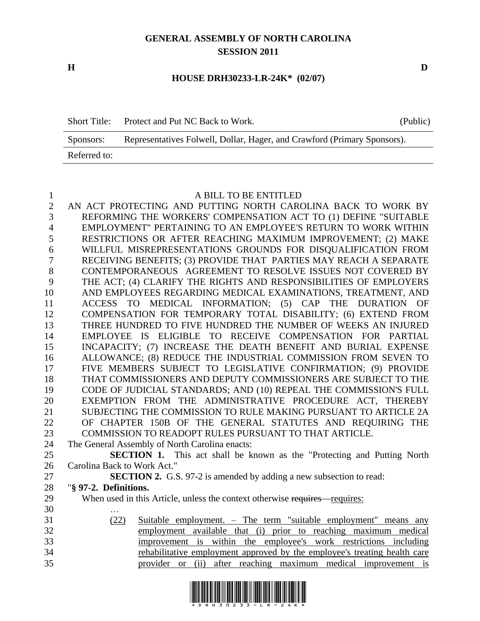# **GENERAL ASSEMBLY OF NORTH CAROLINA SESSION 2011**

**H D**

#### **HOUSE DRH30233-LR-24K\* (02/07)**

| <b>Short Title:</b> | Protect and Put NC Back to Work.                                         | (Public) |
|---------------------|--------------------------------------------------------------------------|----------|
| Sponsors:           | Representatives Folwell, Dollar, Hager, and Crawford (Primary Sponsors). |          |
| Referred to:        |                                                                          |          |

#### A BILL TO BE ENTITLED

 AN ACT PROTECTING AND PUTTING NORTH CAROLINA BACK TO WORK BY REFORMING THE WORKERS' COMPENSATION ACT TO (1) DEFINE "SUITABLE EMPLOYMENT" PERTAINING TO AN EMPLOYEE'S RETURN TO WORK WITHIN RESTRICTIONS OR AFTER REACHING MAXIMUM IMPROVEMENT; (2) MAKE WILLFUL MISREPRESENTATIONS GROUNDS FOR DISQUALIFICATION FROM RECEIVING BENEFITS; (3) PROVIDE THAT PARTIES MAY REACH A SEPARATE CONTEMPORANEOUS AGREEMENT TO RESOLVE ISSUES NOT COVERED BY THE ACT; (4) CLARIFY THE RIGHTS AND RESPONSIBILITIES OF EMPLOYERS AND EMPLOYEES REGARDING MEDICAL EXAMINATIONS, TREATMENT, AND ACCESS TO MEDICAL INFORMATION; (5) CAP THE DURATION OF COMPENSATION FOR TEMPORARY TOTAL DISABILITY; (6) EXTEND FROM THREE HUNDRED TO FIVE HUNDRED THE NUMBER OF WEEKS AN INJURED EMPLOYEE IS ELIGIBLE TO RECEIVE COMPENSATION FOR PARTIAL INCAPACITY; (7) INCREASE THE DEATH BENEFIT AND BURIAL EXPENSE ALLOWANCE; (8) REDUCE THE INDUSTRIAL COMMISSION FROM SEVEN TO FIVE MEMBERS SUBJECT TO LEGISLATIVE CONFIRMATION; (9) PROVIDE THAT COMMISSIONERS AND DEPUTY COMMISSIONERS ARE SUBJECT TO THE CODE OF JUDICIAL STANDARDS; AND (10) REPEAL THE COMMISSION'S FULL EXEMPTION FROM THE ADMINISTRATIVE PROCEDURE ACT, THEREBY SUBJECTING THE COMMISSION TO RULE MAKING PURSUANT TO ARTICLE 2A OF CHAPTER 150B OF THE GENERAL STATUTES AND REQUIRING THE COMMISSION TO READOPT RULES PURSUANT TO THAT ARTICLE. The General Assembly of North Carolina enacts: **SECTION 1.** This act shall be known as the "Protecting and Putting North Carolina Back to Work Act." **SECTION 2.** G.S. 97-2 is amended by adding a new subsection to read: "**§ 97-2. Definitions.** 29 When used in this Article, unless the context otherwise requires – requires: … (22) Suitable employment. – The term "suitable employment" means any

 employment available that (i) prior to reaching maximum medical improvement is within the employee's work restrictions including rehabilitative employment approved by the employee's treating health care provider or (ii) after reaching maximum medical improvement is

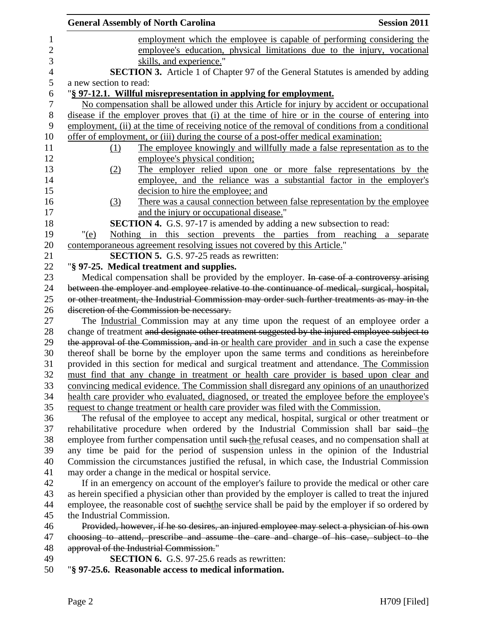|                        | <b>General Assembly of North Carolina</b>                                                                                                              | <b>Session 2011</b> |
|------------------------|--------------------------------------------------------------------------------------------------------------------------------------------------------|---------------------|
|                        | employment which the employee is capable of performing considering the                                                                                 |                     |
|                        | employee's education, physical limitations due to the injury, vocational                                                                               |                     |
|                        | skills, and experience."                                                                                                                               |                     |
|                        | <b>SECTION 3.</b> Article 1 of Chapter 97 of the General Statutes is amended by adding                                                                 |                     |
| a new section to read: |                                                                                                                                                        |                     |
|                        | "§ 97-12.1. Willful misrepresentation in applying for employment.                                                                                      |                     |
|                        | No compensation shall be allowed under this Article for injury by accident or occupational                                                             |                     |
|                        | disease if the employer proves that (i) at the time of hire or in the course of entering into                                                          |                     |
|                        | employment, (ii) at the time of receiving notice of the removal of conditions from a conditional                                                       |                     |
|                        | offer of employment, or (iii) during the course of a post-offer medical examination:                                                                   |                     |
| (1)                    | The employee knowingly and willfully made a false representation as to the                                                                             |                     |
|                        | employee's physical condition;                                                                                                                         |                     |
| <u>(2)</u>             | The employer relied upon one or more false representations by the                                                                                      |                     |
|                        | employee, and the reliance was a substantial factor in the employer's                                                                                  |                     |
|                        | decision to hire the employee; and                                                                                                                     |                     |
| (3)                    | There was a causal connection between false representation by the employee                                                                             |                     |
|                        | and the injury or occupational disease."                                                                                                               |                     |
|                        | SECTION 4. G.S. 97-17 is amended by adding a new subsection to read:                                                                                   |                     |
| " $(e)$                | Nothing in this section prevents the parties from reaching a separate<br>contemporaneous agreement resolving issues not covered by this Article."      |                     |
|                        | <b>SECTION 5.</b> G.S. 97-25 reads as rewritten:                                                                                                       |                     |
|                        | "§ 97-25. Medical treatment and supplies.                                                                                                              |                     |
|                        | Medical compensation shall be provided by the employer. In case of a controversy arising                                                               |                     |
|                        | between the employer and employee relative to the continuance of medical, surgical, hospital,                                                          |                     |
|                        | or other treatment, the Industrial Commission may order such further treatments as may in the                                                          |                     |
|                        | discretion of the Commission be necessary.                                                                                                             |                     |
|                        | The Industrial Commission may at any time upon the request of an employee order a                                                                      |                     |
|                        | change of treatment and designate other treatment suggested by the injured employee subject to                                                         |                     |
|                        | the approval of the Commission, and in or health care provider and in such a case the expense                                                          |                     |
|                        | thereof shall be borne by the employer upon the same terms and conditions as hereinbefore                                                              |                     |
|                        | provided in this section for medical and surgical treatment and attendance. The Commission                                                             |                     |
|                        | must find that any change in treatment or health care provider is based upon clear and                                                                 |                     |
|                        | convincing medical evidence. The Commission shall disregard any opinions of an unauthorized                                                            |                     |
|                        | health care provider who evaluated, diagnosed, or treated the employee before the employee's                                                           |                     |
|                        | request to change treatment or health care provider was filed with the Commission.                                                                     |                     |
|                        | The refusal of the employee to accept any medical, hospital, surgical or other treatment or                                                            |                     |
|                        | rehabilitative procedure when ordered by the Industrial Commission shall bar said the                                                                  |                     |
|                        | employee from further compensation until such the refusal ceases, and no compensation shall at                                                         |                     |
|                        | any time be paid for the period of suspension unless in the opinion of the Industrial                                                                  |                     |
|                        | Commission the circumstances justified the refusal, in which case, the Industrial Commission<br>may order a change in the medical or hospital service. |                     |
|                        | If in an emergency on account of the employer's failure to provide the medical or other care                                                           |                     |
|                        | as herein specified a physician other than provided by the employer is called to treat the injured                                                     |                     |
|                        | employee, the reasonable cost of suchthe service shall be paid by the employer if so ordered by                                                        |                     |
|                        | the Industrial Commission.                                                                                                                             |                     |
|                        | Provided, however, if he so desires, an injured employee may select a physician of his own                                                             |                     |
|                        | choosing to attend, prescribe and assume the care and charge of his case, subject to the                                                               |                     |
|                        | approval of the Industrial Commission."                                                                                                                |                     |
|                        | <b>SECTION 6.</b> G.S. 97-25.6 reads as rewritten:                                                                                                     |                     |
|                        | "§ 97-25.6. Reasonable access to medical information.                                                                                                  |                     |
|                        |                                                                                                                                                        |                     |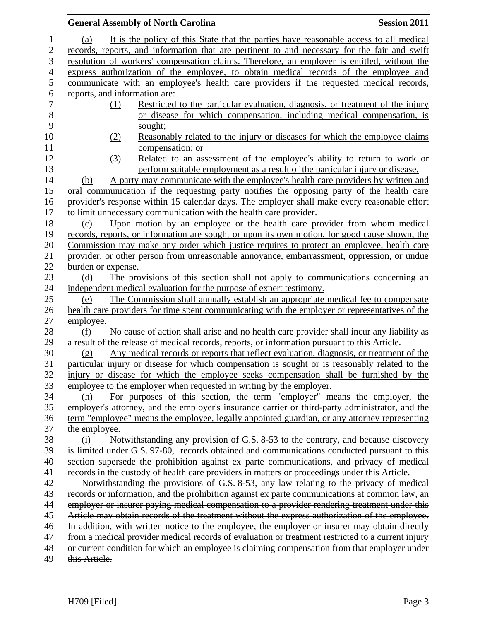|                               | <b>General Assembly of North Carolina</b>                                                         | <b>Session 2011</b> |
|-------------------------------|---------------------------------------------------------------------------------------------------|---------------------|
| (a)                           | It is the policy of this State that the parties have reasonable access to all medical             |                     |
|                               | records, reports, and information that are pertinent to and necessary for the fair and swift      |                     |
|                               | resolution of workers' compensation claims. Therefore, an employer is entitled, without the       |                     |
|                               | express authorization of the employee, to obtain medical records of the employee and              |                     |
|                               | communicate with an employee's health care providers if the requested medical records,            |                     |
| reports, and information are: |                                                                                                   |                     |
| (1)                           | Restricted to the particular evaluation, diagnosis, or treatment of the injury                    |                     |
|                               | or disease for which compensation, including medical compensation, is                             |                     |
|                               | sought;                                                                                           |                     |
| (2)                           | Reasonably related to the injury or diseases for which the employee claims                        |                     |
|                               | compensation; or                                                                                  |                     |
| (3)                           | Related to an assessment of the employee's ability to return to work or                           |                     |
|                               | perform suitable employment as a result of the particular injury or disease.                      |                     |
| (b)                           | A party may communicate with the employee's health care providers by written and                  |                     |
|                               | oral communication if the requesting party notifies the opposing party of the health care         |                     |
|                               | provider's response within 15 calendar days. The employer shall make every reasonable effort      |                     |
|                               | to limit unnecessary communication with the health care provider.                                 |                     |
| (c)                           | Upon motion by an employee or the health care provider from whom medical                          |                     |
|                               | records, reports, or information are sought or upon its own motion, for good cause shown, the     |                     |
|                               | Commission may make any order which justice requires to protect an employee, health care          |                     |
|                               | provider, or other person from unreasonable annoyance, embarrassment, oppression, or undue        |                     |
| burden or expense.            |                                                                                                   |                     |
| (d)                           | The provisions of this section shall not apply to communications concerning an                    |                     |
|                               | independent medical evaluation for the purpose of expert testimony.                               |                     |
| (e)                           | The Commission shall annually establish an appropriate medical fee to compensate                  |                     |
|                               | health care providers for time spent communicating with the employer or representatives of the    |                     |
| employee.                     |                                                                                                   |                     |
| (f)                           | No cause of action shall arise and no health care provider shall incur any liability as           |                     |
|                               | a result of the release of medical records, reports, or information pursuant to this Article.     |                     |
| (g)                           | Any medical records or reports that reflect evaluation, diagnosis, or treatment of the            |                     |
|                               | particular injury or disease for which compensation is sought or is reasonably related to the     |                     |
|                               | injury or disease for which the employee seeks compensation shall be furnished by the             |                     |
|                               | employee to the employer when requested in writing by the employer.                               |                     |
| (h)                           | For purposes of this section, the term "employer" means the employer, the                         |                     |
|                               | employer's attorney, and the employer's insurance carrier or third-party administrator, and the   |                     |
|                               | term "employee" means the employee, legally appointed guardian, or any attorney representing      |                     |
| the employee.                 |                                                                                                   |                     |
| (i)                           | Notwithstanding any provision of G.S. 8-53 to the contrary, and because discovery                 |                     |
|                               | is limited under G.S. 97-80, records obtained and communications conducted pursuant to this       |                     |
|                               | section supersede the prohibition against ex parte communications, and privacy of medical         |                     |
|                               | records in the custody of health care providers in matters or proceedings under this Article.     |                     |
|                               | Notwithstanding the provisions of G.S. 8-53, any law relating to the privacy of medical           |                     |
|                               | records or information, and the prohibition against ex parte communications at common law, an     |                     |
|                               | employer or insurer paying medical compensation to a provider rendering treatment under this      |                     |
|                               | Article may obtain records of the treatment without the express authorization of the employee.    |                     |
|                               | In addition, with written notice to the employee, the employer or insurer may obtain directly     |                     |
|                               | from a medical provider medical records of evaluation or treatment restricted to a current injury |                     |
|                               | or current condition for which an employee is claiming compensation from that employer under      |                     |
| this Article.                 |                                                                                                   |                     |
|                               |                                                                                                   |                     |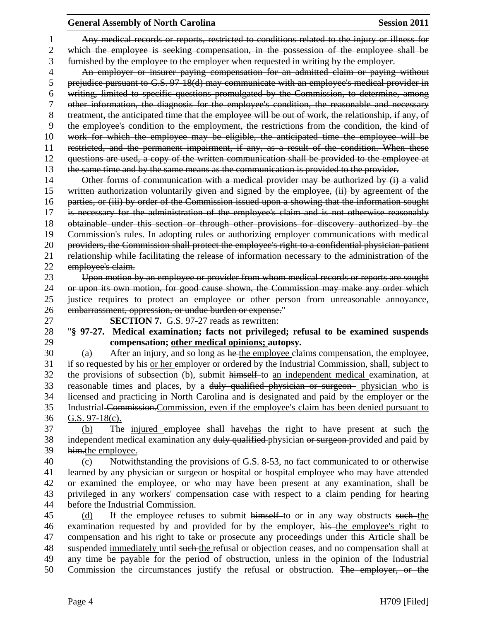## **General Assembly of North Carolina Session 2011**

 Any medical records or reports, restricted to conditions related to the injury or illness for which the employee is seeking compensation, in the possession of the employee shall be furnished by the employee to the employer when requested in writing by the employer. An employer or insurer paying compensation for an admitted claim or paying without prejudice pursuant to G.S. 97-18(d) may communicate with an employee's medical provider in writing, limited to specific questions promulgated by the Commission, to determine, among other information, the diagnosis for the employee's condition, the reasonable and necessary treatment, the anticipated time that the employee will be out of work, the relationship, if any, of the employee's condition to the employment, the restrictions from the condition, the kind of work for which the employee may be eligible, the anticipated time the employee will be restricted, and the permanent impairment, if any, as a result of the condition. When these questions are used, a copy of the written communication shall be provided to the employee at 13 the same time and by the same means as the communication is provided to the provider. 14 Other forms of communication with a medical provider may be authorized by (i) a valid written authorization voluntarily given and signed by the employee, (ii) by agreement of the parties, or (iii) by order of the Commission issued upon a showing that the information sought is necessary for the administration of the employee's claim and is not otherwise reasonably obtainable under this section or through other provisions for discovery authorized by the Commission's rules. In adopting rules or authorizing employer communications with medical providers, the Commission shall protect the employee's right to a confidential physician-patient relationship while facilitating the release of information necessary to the administration of the employee's claim. Upon motion by an employee or provider from whom medical records or reports are sought or upon its own motion, for good cause shown, the Commission may make any order which justice requires to protect an employee or other person from unreasonable annoyance, embarrassment, oppression, or undue burden or expense." **SECTION 7.** G.S. 97-27 reads as rewritten: "**§ 97-27. Medical examination; facts not privileged; refusal to be examined suspends compensation; other medical opinions; autopsy.** 30 (a) After an injury, and so long as he the employee claims compensation, the employee, if so requested by his or her employer or ordered by the Industrial Commission, shall, subject to the provisions of subsection (b), submit himself to an independent medical examination, at reasonable times and places, by a duly qualified physician or surgeon physician who is licensed and practicing in North Carolina and is designated and paid by the employer or the Industrial Commission.Commission, even if the employee's claim has been denied pursuant to G.S. 97-18(c). 37 (b) The injured employee shall have the right to have present at such the 38 independent medical examination any duly qualified physician or surgeon provided and paid by him.the employee. (c) Notwithstanding the provisions of G.S. 8-53, no fact communicated to or otherwise 41 learned by any physician or surgeon or hospital or hospital employee who may have attended or examined the employee, or who may have been present at any examination, shall be privileged in any workers' compensation case with respect to a claim pending for hearing before the Industrial Commission. 45 (d) If the employee refuses to submit himself to or in any way obstructs such the 46 examination requested by and provided for by the employer, his the employee's right to 47 compensation and his right to take or prosecute any proceedings under this Article shall be 48 suspended immediately until such the refusal or objection ceases, and no compensation shall at any time be payable for the period of obstruction, unless in the opinion of the Industrial Commission the circumstances justify the refusal or obstruction. The employer, or the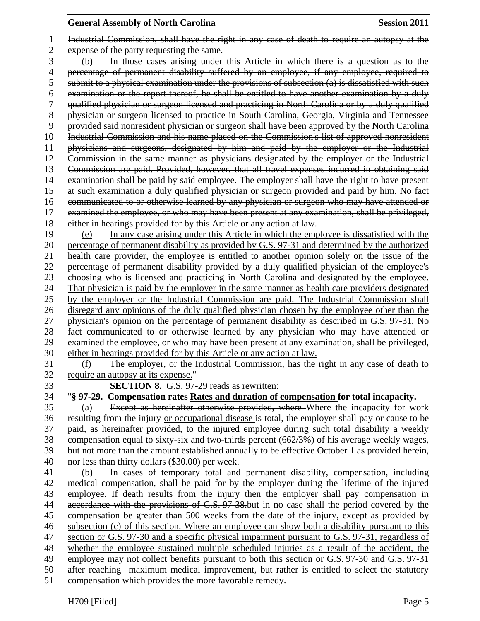## **General Assembly of North Carolina Session 2011**

 Industrial Commission, shall have the right in any case of death to require an autopsy at the expense of the party requesting the same. (b) In those cases arising under this Article in which there is a question as to the percentage of permanent disability suffered by an employee, if any employee, required to submit to a physical examination under the provisions of subsection (a) is dissatisfied with such examination or the report thereof, he shall be entitled to have another examination by a duly qualified physician or surgeon licensed and practicing in North Carolina or by a duly qualified 8 physician or surgeon licensed to practice in South Carolina, Georgia, Virginia and Tennessee provided said nonresident physician or surgeon shall have been approved by the North Carolina 10 Industrial Commission and his name placed on the Commission's list of approved nonresident physicians and surgeons, designated by him and paid by the employer or the Industrial Commission in the same manner as physicians designated by the employer or the Industrial Commission are paid. Provided, however, that all travel expenses incurred in obtaining said examination shall be paid by said employee. The employer shall have the right to have present at such examination a duly qualified physician or surgeon provided and paid by him. No fact communicated to or otherwise learned by any physician or surgeon who may have attended or examined the employee, or who may have been present at any examination, shall be privileged, either in hearings provided for by this Article or any action at law. (e) In any case arising under this Article in which the employee is dissatisfied with the percentage of permanent disability as provided by G.S. 97-31 and determined by the authorized health care provider, the employee is entitled to another opinion solely on the issue of the percentage of permanent disability provided by a duly qualified physician of the employee's choosing who is licensed and practicing in North Carolina and designated by the employee. That physician is paid by the employer in the same manner as health care providers designated by the employer or the Industrial Commission are paid. The Industrial Commission shall disregard any opinions of the duly qualified physician chosen by the employee other than the physician's opinion on the percentage of permanent disability as described in G.S. 97-31. No fact communicated to or otherwise learned by any physician who may have attended or examined the employee, or who may have been present at any examination, shall be privileged, either in hearings provided for by this Article or any action at law. (f) The employer, or the Industrial Commission, has the right in any case of death to require an autopsy at its expense." **SECTION 8.** G.S. 97-29 reads as rewritten: "**§ 97-29. Compensation rates Rates and duration of compensation for total incapacity.** (a) Except as hereinafter otherwise provided, where Where the incapacity for work resulting from the injury or occupational disease is total, the employer shall pay or cause to be paid, as hereinafter provided, to the injured employee during such total disability a weekly compensation equal to sixty-six and two-thirds percent (662/3%) of his average weekly wages, but not more than the amount established annually to be effective October 1 as provided herein, nor less than thirty dollars (\$30.00) per week. (b) In cases of temporary total and permanent disability, compensation, including 42 medical compensation, shall be paid for by the employer during the lifetime of the injured employee. If death results from the injury then the employer shall pay compensation in 44 accordance with the provisions of G.S. 97-38 but in no case shall the period covered by the compensation be greater than 500 weeks from the date of the injury, except as provided by subsection (c) of this section. Where an employee can show both a disability pursuant to this section or G.S. 97-30 and a specific physical impairment pursuant to G.S. 97-31, regardless of whether the employee sustained multiple scheduled injuries as a result of the accident, the employee may not collect benefits pursuant to both this section or G.S. 97-30 and G.S. 97-31

after reaching maximum medical improvement, but rather is entitled to select the statutory

compensation which provides the more favorable remedy.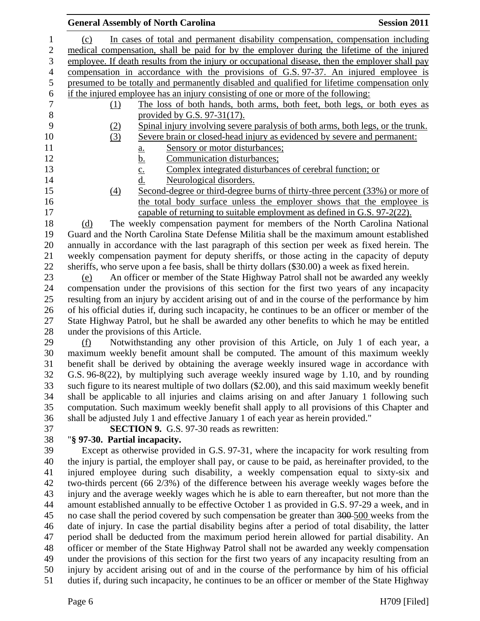|    |     | <b>General Assembly of North Carolina</b>                                                       | <b>Session 2011</b> |
|----|-----|-------------------------------------------------------------------------------------------------|---------------------|
|    | (c) | In cases of total and permanent disability compensation, compensation including                 |                     |
| 2  |     | medical compensation, shall be paid for by the employer during the lifetime of the injured      |                     |
| 3  |     | employee. If death results from the injury or occupational disease, then the employer shall pay |                     |
| 4  |     | compensation in accordance with the provisions of G.S. 97-37. An injured employee is            |                     |
| 5  |     | presumed to be totally and permanently disabled and qualified for lifetime compensation only    |                     |
| 6  |     | if the injured employee has an injury consisting of one or more of the following:               |                     |
| 7  | (1) | The loss of both hands, both arms, both feet, both legs, or both eyes as                        |                     |
| 8  |     | provided by G.S. $97-31(17)$ .                                                                  |                     |
| 9  | (2) | Spinal injury involving severe paralysis of both arms, both legs, or the trunk.                 |                     |
| 10 | (3) | Severe brain or closed-head injury as evidenced by severe and permanent:                        |                     |
| 11 |     | Sensory or motor disturbances;<br>$\underline{a}$ .                                             |                     |
| 12 |     | <u>b.</u><br>Communication disturbances;                                                        |                     |
| 13 |     | Complex integrated disturbances of cerebral function; or                                        |                     |
| 14 |     | $rac{c}{d}$<br>Neurological disorders.                                                          |                     |
| 15 | (4) | Second-degree or third-degree burns of thirty-three percent (33%) or more of                    |                     |
| 16 |     | the total body surface unless the employer shows that the employee is                           |                     |
| 17 |     | capable of returning to suitable employment as defined in G.S. 97-2(22).                        |                     |
| 18 | (d) | The weekly compensation payment for members of the North Carolina National                      |                     |
| 19 |     | Guard and the North Carolina State Defense Militia shall be the maximum amount established      |                     |

 Guard and the North Carolina State Defense Militia shall be the maximum amount established annually in accordance with the last paragraph of this section per week as fixed herein. The weekly compensation payment for deputy sheriffs, or those acting in the capacity of deputy sheriffs, who serve upon a fee basis, shall be thirty dollars (\$30.00) a week as fixed herein.

 (e) An officer or member of the State Highway Patrol shall not be awarded any weekly compensation under the provisions of this section for the first two years of any incapacity resulting from an injury by accident arising out of and in the course of the performance by him of his official duties if, during such incapacity, he continues to be an officer or member of the State Highway Patrol, but he shall be awarded any other benefits to which he may be entitled under the provisions of this Article.

 (f) Notwithstanding any other provision of this Article, on July 1 of each year, a maximum weekly benefit amount shall be computed. The amount of this maximum weekly benefit shall be derived by obtaining the average weekly insured wage in accordance with G.S. 96-8(22), by multiplying such average weekly insured wage by 1.10, and by rounding such figure to its nearest multiple of two dollars (\$2.00), and this said maximum weekly benefit shall be applicable to all injuries and claims arising on and after January 1 following such computation. Such maximum weekly benefit shall apply to all provisions of this Chapter and shall be adjusted July 1 and effective January 1 of each year as herein provided."

**SECTION 9.** G.S. 97-30 reads as rewritten:

## "**§ 97-30. Partial incapacity.**

 Except as otherwise provided in G.S. 97-31, where the incapacity for work resulting from the injury is partial, the employer shall pay, or cause to be paid, as hereinafter provided, to the injured employee during such disability, a weekly compensation equal to sixty-six and two-thirds percent (66 2/3%) of the difference between his average weekly wages before the injury and the average weekly wages which he is able to earn thereafter, but not more than the amount established annually to be effective October 1 as provided in G.S. 97-29 a week, and in 45 no case shall the period covered by such compensation be greater than 300-500 weeks from the date of injury. In case the partial disability begins after a period of total disability, the latter period shall be deducted from the maximum period herein allowed for partial disability. An officer or member of the State Highway Patrol shall not be awarded any weekly compensation under the provisions of this section for the first two years of any incapacity resulting from an injury by accident arising out of and in the course of the performance by him of his official duties if, during such incapacity, he continues to be an officer or member of the State Highway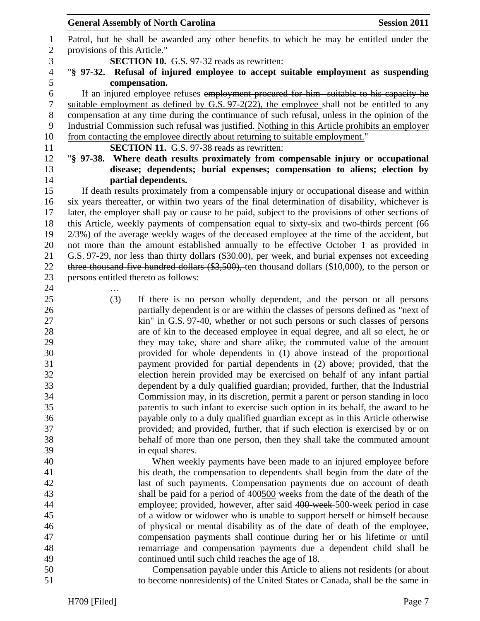|                  |                                      | <b>General Assembly of North Carolina</b>                                                                                                                                             | <b>Session 2011</b> |
|------------------|--------------------------------------|---------------------------------------------------------------------------------------------------------------------------------------------------------------------------------------|---------------------|
| $\mathbf{1}$     |                                      | Patrol, but he shall be awarded any other benefits to which he may be entitled under the                                                                                              |                     |
| $\mathbf{2}$     | provisions of this Article."         |                                                                                                                                                                                       |                     |
| 3                |                                      | <b>SECTION 10.</b> G.S. 97-32 reads as rewritten:                                                                                                                                     |                     |
| $\overline{4}$   |                                      | "§ 97-32. Refusal of injured employee to accept suitable employment as suspending                                                                                                     |                     |
| 5                |                                      | compensation.                                                                                                                                                                         |                     |
| 6                |                                      | If an injured employee refuses employment procured for him suitable to his capacity he                                                                                                |                     |
| $\boldsymbol{7}$ |                                      | suitable employment as defined by G.S. $97-2(22)$ , the employee shall not be entitled to any                                                                                         |                     |
| $8\,$            |                                      | compensation at any time during the continuance of such refusal, unless in the opinion of the                                                                                         |                     |
| 9                |                                      | Industrial Commission such refusal was justified. Nothing in this Article prohibits an employer                                                                                       |                     |
| 10               |                                      | from contacting the employee directly about returning to suitable employment."                                                                                                        |                     |
| 11               |                                      | <b>SECTION 11.</b> G.S. 97-38 reads as rewritten:                                                                                                                                     |                     |
| 12               |                                      | "§ 97-38. Where death results proximately from compensable injury or occupational                                                                                                     |                     |
| 13               |                                      | disease; dependents; burial expenses; compensation to aliens; election by                                                                                                             |                     |
| 14               |                                      | partial dependents.                                                                                                                                                                   |                     |
| 15               |                                      | If death results proximately from a compensable injury or occupational disease and within                                                                                             |                     |
| 16               |                                      | six years thereafter, or within two years of the final determination of disability, whichever is                                                                                      |                     |
| 17               |                                      | later, the employer shall pay or cause to be paid, subject to the provisions of other sections of                                                                                     |                     |
| 18<br>19         |                                      | this Article, weekly payments of compensation equal to sixty-six and two-thirds percent (66                                                                                           |                     |
| 20               |                                      | 2/3%) of the average weekly wages of the deceased employee at the time of the accident, but<br>not more than the amount established annually to be effective October 1 as provided in |                     |
| 21               |                                      | G.S. 97-29, nor less than thirty dollars (\$30.00), per week, and burial expenses not exceeding                                                                                       |                     |
| 22               |                                      | three thousand five hundred dollars $(\$3,500)$ , ten thousand dollars $(\$10,000)$ , to the person or                                                                                |                     |
| 23               | persons entitled thereto as follows: |                                                                                                                                                                                       |                     |
| 24               |                                      |                                                                                                                                                                                       |                     |
| 25               | (3)                                  | If there is no person wholly dependent, and the person or all persons                                                                                                                 |                     |
| 26               |                                      | partially dependent is or are within the classes of persons defined as "next of                                                                                                       |                     |
| 27               |                                      | kin" in G.S. 97-40, whether or not such persons or such classes of persons                                                                                                            |                     |
| 28               |                                      | are of kin to the deceased employee in equal degree, and all so elect, he or                                                                                                          |                     |
| 29               |                                      | they may take, share and share alike, the commuted value of the amount                                                                                                                |                     |
| 30               |                                      | provided for whole dependents in (1) above instead of the proportional                                                                                                                |                     |
| 31               |                                      | payment provided for partial dependents in (2) above; provided, that the                                                                                                              |                     |
| 32               |                                      | election herein provided may be exercised on behalf of any infant partial                                                                                                             |                     |
| 33               |                                      | dependent by a duly qualified guardian; provided, further, that the Industrial                                                                                                        |                     |
| 34               |                                      | Commission may, in its discretion, permit a parent or person standing in loco                                                                                                         |                     |
| 35               |                                      | parentis to such infant to exercise such option in its behalf, the award to be                                                                                                        |                     |
| 36               |                                      | payable only to a duly qualified guardian except as in this Article otherwise                                                                                                         |                     |
| 37               |                                      | provided; and provided, further, that if such election is exercised by or on                                                                                                          |                     |
| 38               |                                      | behalf of more than one person, then they shall take the commuted amount                                                                                                              |                     |
| 39               |                                      | in equal shares.                                                                                                                                                                      |                     |
| 40               |                                      | When weekly payments have been made to an injured employee before                                                                                                                     |                     |
| 41<br>42         |                                      | his death, the compensation to dependents shall begin from the date of the                                                                                                            |                     |
| 43               |                                      | last of such payments. Compensation payments due on account of death<br>shall be paid for a period of 400500 weeks from the date of the death of the                                  |                     |
| 44               |                                      | employee; provided, however, after said 400-week-500-week period in case                                                                                                              |                     |
| 45               |                                      | of a widow or widower who is unable to support herself or himself because                                                                                                             |                     |
| 46               |                                      | of physical or mental disability as of the date of death of the employee,                                                                                                             |                     |
| 47               |                                      | compensation payments shall continue during her or his lifetime or until                                                                                                              |                     |
| 48               |                                      | remarriage and compensation payments due a dependent child shall be                                                                                                                   |                     |
| 49               |                                      | continued until such child reaches the age of 18.                                                                                                                                     |                     |
| 50               |                                      | Compensation payable under this Article to aliens not residents (or about                                                                                                             |                     |
| 51               |                                      | to become nonresidents) of the United States or Canada, shall be the same in                                                                                                          |                     |
|                  |                                      |                                                                                                                                                                                       |                     |
|                  | H709 [Filed]                         |                                                                                                                                                                                       | Page 7              |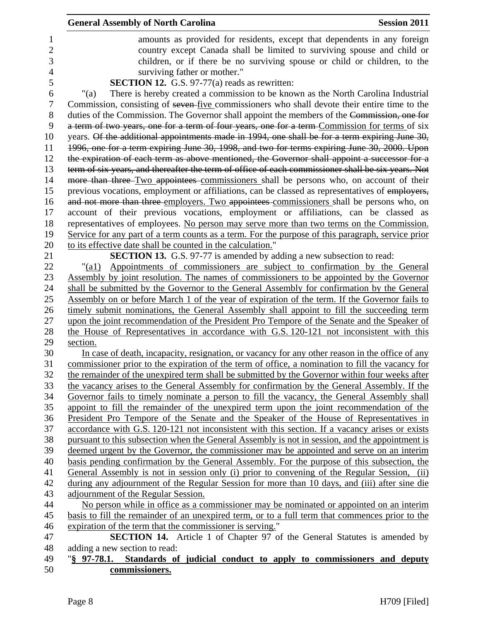|                | <b>General Assembly of North Carolina</b>                                                                                                                                                   | <b>Session 2011</b> |
|----------------|---------------------------------------------------------------------------------------------------------------------------------------------------------------------------------------------|---------------------|
| 1              | amounts as provided for residents, except that dependents in any foreign                                                                                                                    |                     |
| $\overline{2}$ | country except Canada shall be limited to surviving spouse and child or                                                                                                                     |                     |
| 3              | children, or if there be no surviving spouse or child or children, to the                                                                                                                   |                     |
| 4              | surviving father or mother."                                                                                                                                                                |                     |
| 5              | <b>SECTION 12.</b> G.S. 97-77(a) reads as rewritten:                                                                                                                                        |                     |
| 6              | There is hereby created a commission to be known as the North Carolina Industrial<br>" $(a)$                                                                                                |                     |
| $\tau$         | Commission, consisting of seven five commissioners who shall devote their entire time to the                                                                                                |                     |
| 8              | duties of the Commission. The Governor shall appoint the members of the Commission, one for                                                                                                 |                     |
| 9              | a term of two years, one for a term of four years, one for a term Commission for terms of six                                                                                               |                     |
| 10             | years. Of the additional appointments made in 1994, one shall be for a term expiring June 30,                                                                                               |                     |
| 11             | 1996, one for a term expiring June 30, 1998, and two for terms expiring June 30, 2000. Upon                                                                                                 |                     |
| 12             | the expiration of each term as above mentioned, the Governor shall appoint a successor for a                                                                                                |                     |
| 13             | term of six years, and thereafter the term of office of each commissioner shall be six years. Not                                                                                           |                     |
| 14             | more than three-Two appointees-commissioners shall be persons who, on account of their                                                                                                      |                     |
| 15             | previous vocations, employment or affiliations, can be classed as representatives of employers,                                                                                             |                     |
| 16             | and not more than three employers. Two appointees commissioners shall be persons who, on                                                                                                    |                     |
| 17             | account of their previous vocations, employment or affiliations, can be classed as                                                                                                          |                     |
| 18             | representatives of employees. No person may serve more than two terms on the Commission.                                                                                                    |                     |
| 19             | Service for any part of a term counts as a term. For the purpose of this paragraph, service prior                                                                                           |                     |
| 20             | to its effective date shall be counted in the calculation."                                                                                                                                 |                     |
| 21             | SECTION 13. G.S. 97-77 is amended by adding a new subsection to read:                                                                                                                       |                     |
| 22             | Appointments of commissioners are subject to confirmation by the General<br>$"$ (al)                                                                                                        |                     |
| 23             | Assembly by joint resolution. The names of commissioners to be appointed by the Governor                                                                                                    |                     |
| 24             | shall be submitted by the Governor to the General Assembly for confirmation by the General                                                                                                  |                     |
| 25             | Assembly on or before March 1 of the year of expiration of the term. If the Governor fails to                                                                                               |                     |
| 26             | timely submit nominations, the General Assembly shall appoint to fill the succeeding term                                                                                                   |                     |
| 27             | upon the joint recommendation of the President Pro Tempore of the Senate and the Speaker of                                                                                                 |                     |
| 28             | the House of Representatives in accordance with G.S. 120-121 not inconsistent with this                                                                                                     |                     |
| 29             | section.                                                                                                                                                                                    |                     |
| 30             | In case of death, incapacity, resignation, or vacancy for any other reason in the office of any                                                                                             |                     |
| 31             | commissioner prior to the expiration of the term of office, a nomination to fill the vacancy for                                                                                            |                     |
| 32             | the remainder of the unexpired term shall be submitted by the Governor within four weeks after                                                                                              |                     |
| 33             | the vacancy arises to the General Assembly for confirmation by the General Assembly. If the                                                                                                 |                     |
| 34             | Governor fails to timely nominate a person to fill the vacancy, the General Assembly shall                                                                                                  |                     |
| 35             | appoint to fill the remainder of the unexpired term upon the joint recommendation of the                                                                                                    |                     |
| 36             | President Pro Tempore of the Senate and the Speaker of the House of Representatives in                                                                                                      |                     |
| 37<br>38       | accordance with G.S. 120-121 not inconsistent with this section. If a vacancy arises or exists                                                                                              |                     |
| 39             | pursuant to this subsection when the General Assembly is not in session, and the appointment is<br>deemed urgent by the Governor, the commissioner may be appointed and serve on an interim |                     |
| 40             | basis pending confirmation by the General Assembly. For the purpose of this subsection, the                                                                                                 |                     |
| 41             | General Assembly is not in session only (i) prior to convening of the Regular Session, (ii)                                                                                                 |                     |
| 42             | during any adjournment of the Regular Session for more than 10 days, and (iii) after sine die                                                                                               |                     |
| 43             | adjournment of the Regular Session.                                                                                                                                                         |                     |
| 44             | No person while in office as a commissioner may be nominated or appointed on an interim                                                                                                     |                     |
| 45             | basis to fill the remainder of an unexpired term, or to a full term that commences prior to the                                                                                             |                     |
| 46             | expiration of the term that the commissioner is serving."                                                                                                                                   |                     |
| 47             | SECTION 14. Article 1 of Chapter 97 of the General Statutes is amended by                                                                                                                   |                     |
| 48             | adding a new section to read:                                                                                                                                                               |                     |
| 49             | "§ 97-78.1.<br>Standards of judicial conduct to apply to commissioners and deputy                                                                                                           |                     |
| 50             | commissioners.                                                                                                                                                                              |                     |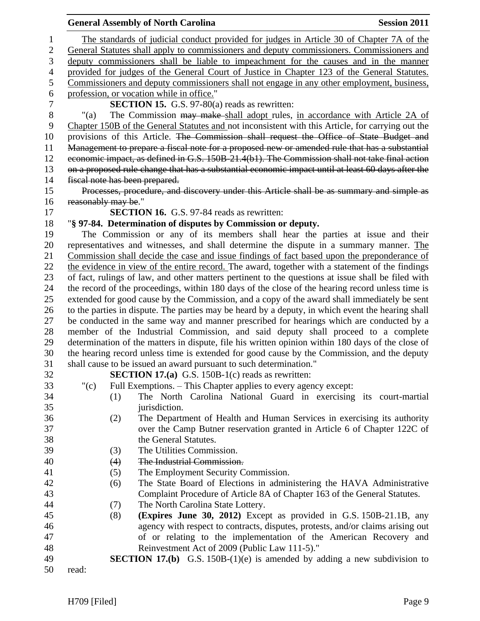|                |                                | <b>General Assembly of North Carolina</b>                                                                                         | <b>Session 2011</b> |
|----------------|--------------------------------|-----------------------------------------------------------------------------------------------------------------------------------|---------------------|
| 1              |                                | The standards of judicial conduct provided for judges in Article 30 of Chapter 7A of the                                          |                     |
| $\overline{2}$ |                                | General Statutes shall apply to commissioners and deputy commissioners. Commissioners and                                         |                     |
| 3              |                                | deputy commissioners shall be liable to impeachment for the causes and in the manner                                              |                     |
| 4              |                                | provided for judges of the General Court of Justice in Chapter 123 of the General Statutes.                                       |                     |
| 5              |                                | Commissioners and deputy commissioners shall not engage in any other employment, business,                                        |                     |
| 6              |                                | profession, or vocation while in office."                                                                                         |                     |
| $\tau$         |                                | SECTION 15. G.S. 97-80(a) reads as rewritten:                                                                                     |                     |
| $8\,$          | " $(a)$                        | The Commission may make shall adopt rules, in accordance with Article 2A of                                                       |                     |
| 9              |                                | Chapter 150B of the General Statutes and not inconsistent with this Article, for carrying out the                                 |                     |
| 10             |                                | provisions of this Article. The Commission shall request the Office of State Budget and                                           |                     |
| 11             |                                | Management to prepare a fiscal note for a proposed new or amended rule that has a substantial                                     |                     |
| 12             |                                | economic impact, as defined in G.S. 150B-21.4(b1). The Commission shall not take final action                                     |                     |
| 13             |                                | on a proposed rule change that has a substantial economic impact until at least 60 days after the                                 |                     |
| 14             | fiscal note has been prepared. |                                                                                                                                   |                     |
| 15             |                                | Processes, procedure, and discovery under this Article shall be as summary and simple as                                          |                     |
| 16             | reasonably may be."            |                                                                                                                                   |                     |
| 17             |                                | <b>SECTION 16.</b> G.S. 97-84 reads as rewritten:                                                                                 |                     |
| 18             |                                | "§ 97-84. Determination of disputes by Commission or deputy.                                                                      |                     |
| 19             |                                | The Commission or any of its members shall hear the parties at issue and their                                                    |                     |
| 20             |                                | representatives and witnesses, and shall determine the dispute in a summary manner. The                                           |                     |
| 21             |                                | Commission shall decide the case and issue findings of fact based upon the preponderance of                                       |                     |
| 22             |                                | the evidence in view of the entire record. The award, together with a statement of the findings                                   |                     |
| 23             |                                | of fact, rulings of law, and other matters pertinent to the questions at issue shall be filed with                                |                     |
| 24             |                                | the record of the proceedings, within 180 days of the close of the hearing record unless time is                                  |                     |
| 25             |                                | extended for good cause by the Commission, and a copy of the award shall immediately be sent                                      |                     |
| 26             |                                | to the parties in dispute. The parties may be heard by a deputy, in which event the hearing shall                                 |                     |
| 27             |                                | be conducted in the same way and manner prescribed for hearings which are conducted by a                                          |                     |
| 28             |                                | member of the Industrial Commission, and said deputy shall proceed to a complete                                                  |                     |
| 29             |                                | determination of the matters in dispute, file his written opinion within 180 days of the close of                                 |                     |
| 30             |                                | the hearing record unless time is extended for good cause by the Commission, and the deputy                                       |                     |
| 31             |                                | shall cause to be issued an award pursuant to such determination."                                                                |                     |
| 32             |                                | <b>SECTION 17.(a)</b> G.S. 150B-1(c) reads as rewritten:                                                                          |                     |
| 33             | " $(c)$                        | Full Exemptions. – This Chapter applies to every agency except:                                                                   |                     |
| 34             | (1)                            | The North Carolina National Guard in exercising its court-martial                                                                 |                     |
| 35             |                                | jurisdiction.                                                                                                                     |                     |
| 36             | (2)                            | The Department of Health and Human Services in exercising its authority                                                           |                     |
| 37             |                                | over the Camp Butner reservation granted in Article 6 of Chapter 122C of                                                          |                     |
| 38             |                                | the General Statutes.                                                                                                             |                     |
| 39             | (3)                            | The Utilities Commission.                                                                                                         |                     |
| 40             | (4)                            | The Industrial Commission.                                                                                                        |                     |
| 41             | (5)                            | The Employment Security Commission.                                                                                               |                     |
| 42             | (6)                            | The State Board of Elections in administering the HAVA Administrative                                                             |                     |
| 43             |                                | Complaint Procedure of Article 8A of Chapter 163 of the General Statutes.                                                         |                     |
| 44             | (7)                            | The North Carolina State Lottery.                                                                                                 |                     |
| 45             | (8)                            | (Expires June 30, 2012) Except as provided in G.S. 150B-21.1B, any                                                                |                     |
| 46             |                                | agency with respect to contracts, disputes, protests, and/or claims arising out                                                   |                     |
| 47<br>48       |                                | of or relating to the implementation of the American Recovery and                                                                 |                     |
| 49             |                                | Reinvestment Act of 2009 (Public Law 111-5)."<br><b>SECTION 17.(b)</b> G.S. 150B-(1)(e) is amended by adding a new subdivision to |                     |
| 50             | read:                          |                                                                                                                                   |                     |
|                |                                |                                                                                                                                   |                     |